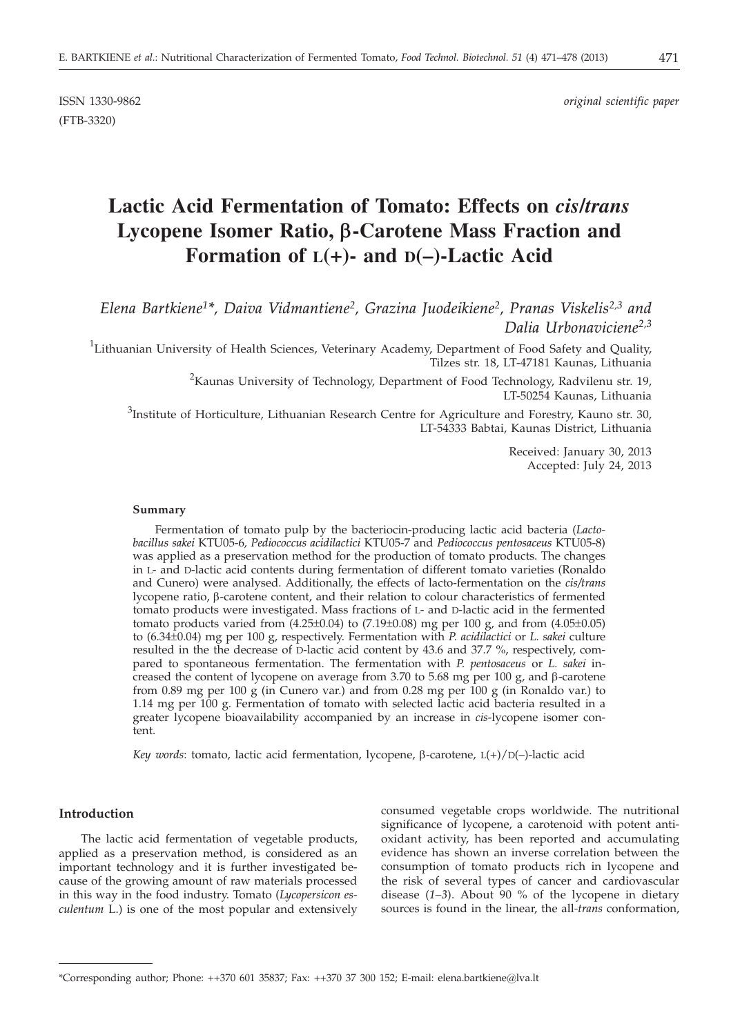(FTB-3320)

ISSN 1330-9862 *original scientific paper*

# **Lactic Acid Fermentation of Tomato: Effects on** *cis***/***trans* **Lycopene Isomer Ratio, b-Carotene Mass Fraction and Formation of L(+)- and D(–)-Lactic Acid**

## *Elena Bartkiene1\*, Daiva Vidmantiene2, Grazina Juodeikiene2, Pranas Viskelis2,3 and Dalia Urbonaviciene2,3*

<sup>1</sup>Lithuanian University of Health Sciences, Veterinary Academy, Department of Food Safety and Quality, Tilzes str. 18, LT-47181 Kaunas, Lithuania

> $^{2}$ Kaunas University of Technology, Department of Food Technology, Radvilenu str. 19, LT-50254 Kaunas, Lithuania

 $3$ Institute of Horticulture, Lithuanian Research Centre for Agriculture and Forestry, Kauno str. 30, LT-54333 Babtai, Kaunas District, Lithuania

> Received: January 30, 2013 Accepted: July 24, 2013

#### **Summary**

Fermentation of tomato pulp by the bacteriocin-producing lactic acid bacteria (*Lactobacillus sakei* KTU05-6*, Pediococcus acidilactici* KTU05-7 and *Pediococcus pentosaceus* KTU05-8) was applied as a preservation method for the production of tomato products. The changes in L- and D-lactic acid contents during fermentation of different tomato varieties (Ronaldo and Cunero) were analysed. Additionally, the effects of lacto-fermentation on the *cis/trans* lycopene ratio, b-carotene content, and their relation to colour characteristics of fermented tomato products were investigated. Mass fractions of L- and D-lactic acid in the fermented tomato products varied from  $(4.25\pm0.04)$  to  $(7.19\pm0.08)$  mg per 100 g, and from  $(4.05\pm0.05)$ to (6.34±0.04) mg per 100 g, respectively. Fermentation with *P. acidilactici* or *L. sakei* culture resulted in the the decrease of D-lactic acid content by 43.6 and 37.7 %, respectively, compared to spontaneous fermentation. The fermentation with *P. pentosaceus* or *L. sakei* increased the content of lycopene on average from  $3.70$  to  $5.68$  mg per  $100$  g, and  $\beta$ -carotene from 0.89 mg per 100 g (in Cunero var.) and from 0.28 mg per 100 g (in Ronaldo var.) to 1.14 mg per 100 g. Fermentation of tomato with selected lactic acid bacteria resulted in a greater lycopene bioavailability accompanied by an increase in *cis*-lycopene isomer content.

*Key words*: tomato, lactic acid fermentation, lycopene,  $\beta$ -carotene,  $L(+)/D(-)$ -lactic acid

#### **Introduction**

The lactic acid fermentation of vegetable products, applied as a preservation method, is considered as an important technology and it is further investigated because of the growing amount of raw materials processed in this way in the food industry. Tomato (*Lycopersicon esculentum* L.) is one of the most popular and extensively consumed vegetable crops worldwide. The nutritional significance of lycopene, a carotenoid with potent antioxidant activity, has been reported and accumulating evidence has shown an inverse correlation between the consumption of tomato products rich in lycopene and the risk of several types of cancer and cardiovascular disease (*1–3*). About 90 % of the lycopene in dietary sources is found in the linear, the all*-trans* conformation,

<sup>\*</sup>Corresponding author; Phone: ++370 601 35837; Fax: ++370 37 300 152; E-mail: elena.bartkiene@lva.lt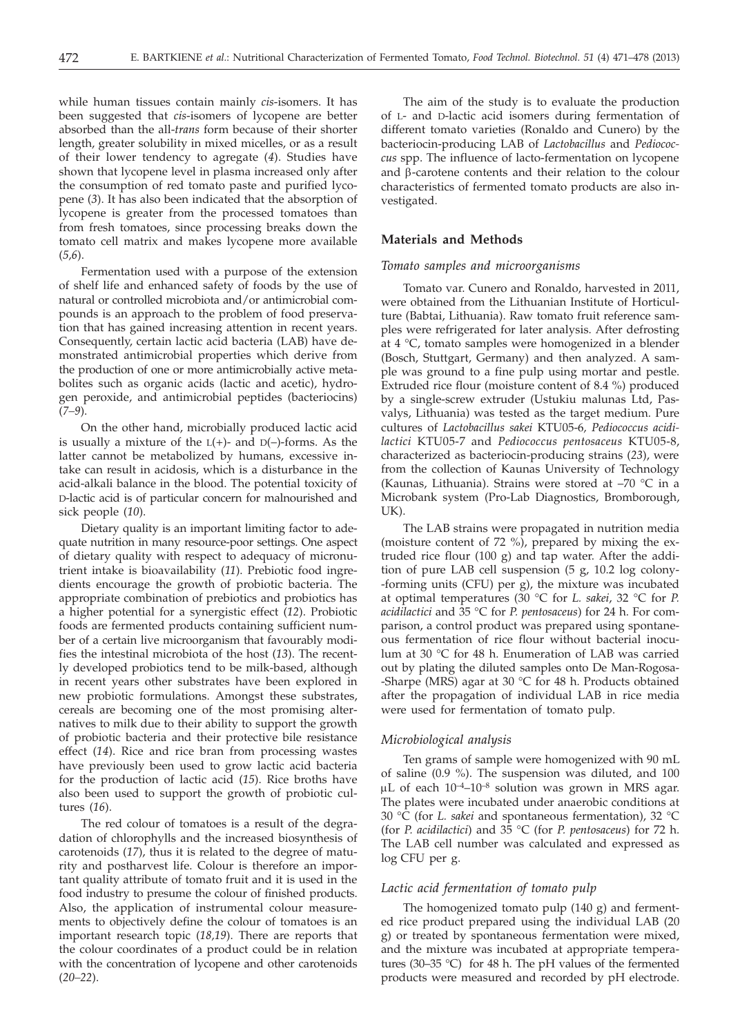while human tissues contain mainly *cis*-isomers. It has been suggested that *cis*-isomers of lycopene are better absorbed than the all-*trans* form because of their shorter length, greater solubility in mixed micelles, or as a result of their lower tendency to agregate (*4*). Studies have shown that lycopene level in plasma increased only after the consumption of red tomato paste and purified lycopene (*3*). It has also been indicated that the absorption of lycopene is greater from the processed tomatoes than from fresh tomatoes, since processing breaks down the tomato cell matrix and makes lycopene more available (*5,6*).

Fermentation used with a purpose of the extension of shelf life and enhanced safety of foods by the use of natural or controlled microbiota and/or antimicrobial compounds is an approach to the problem of food preservation that has gained increasing attention in recent years. Consequently, certain lactic acid bacteria (LAB) have demonstrated antimicrobial properties which derive from the production of one or more antimicrobially active metabolites such as organic acids (lactic and acetic), hydrogen peroxide, and antimicrobial peptides (bacteriocins) (*7–9*).

On the other hand, microbially produced lactic acid is usually a mixture of the  $L(+)$ - and  $D(-)$ -forms. As the latter cannot be metabolized by humans, excessive intake can result in acidosis, which is a disturbance in the acid-alkali balance in the blood. The potential toxicity of D-lactic acid is of particular concern for malnourished and sick people (*10*).

Dietary quality is an important limiting factor to adequate nutrition in many resource-poor settings. One aspect of dietary quality with respect to adequacy of micronutrient intake is bioavailability (*11*). Prebiotic food ingredients encourage the growth of probiotic bacteria. The appropriate combination of prebiotics and probiotics has a higher potential for a synergistic effect (*12*). Probiotic foods are fermented products containing sufficient number of a certain live microorganism that favourably modifies the intestinal microbiota of the host (*13*). The recently developed probiotics tend to be milk-based, although in recent years other substrates have been explored in new probiotic formulations. Amongst these substrates, cereals are becoming one of the most promising alternatives to milk due to their ability to support the growth of probiotic bacteria and their protective bile resistance effect (*14*). Rice and rice bran from processing wastes have previously been used to grow lactic acid bacteria for the production of lactic acid (*15*). Rice broths have also been used to support the growth of probiotic cultures (*16*).

The red colour of tomatoes is a result of the degradation of chlorophylls and the increased biosynthesis of carotenoids (*17*), thus it is related to the degree of maturity and postharvest life. Colour is therefore an important quality attribute of tomato fruit and it is used in the food industry to presume the colour of finished products. Also, the application of instrumental colour measurements to objectively define the colour of tomatoes is an important research topic (*18,19*). There are reports that the colour coordinates of a product could be in relation with the concentration of lycopene and other carotenoids (*20–22*).

The aim of the study is to evaluate the production of L- and D-lactic acid isomers during fermentation of different tomato varieties (Ronaldo and Cunero) by the bacteriocin-producing LAB of *Lactobacillus* and *Pediococcus* spp. The influence of lacto-fermentation on lycopene and  $\beta$ -carotene contents and their relation to the colour characteristics of fermented tomato products are also investigated.

#### **Materials and Methods**

#### *Tomato samples and microorganisms*

Tomato var. Cunero and Ronaldo, harvested in 2011, were obtained from the Lithuanian Institute of Horticulture (Babtai, Lithuania). Raw tomato fruit reference samples were refrigerated for later analysis. After defrosting at 4 °C, tomato samples were homogenized in a blender (Bosch, Stuttgart, Germany) and then analyzed. A sample was ground to a fine pulp using mortar and pestle. Extruded rice flour (moisture content of 8.4 %) produced by a single-screw extruder (Ustukiu malunas Ltd, Pasvalys, Lithuania) was tested as the target medium. Pure cultures of *Lactobacillus sakei* KTU05-6*, Pediococcus acidilactici* KTU05-7 and *Pediococcus pentosaceus* KTU05-8, characterized as bacteriocin-producing strains (*23*), were from the collection of Kaunas University of Technology (Kaunas, Lithuania). Strains were stored at –70 °C in a Microbank system (Pro-Lab Diagnostics, Bromborough, UK).

The LAB strains were propagated in nutrition media (moisture content of 72 %), prepared by mixing the extruded rice flour (100 g) and tap water. After the addition of pure LAB cell suspension (5 g, 10.2 log colony- -forming units (CFU) per g), the mixture was incubated at optimal temperatures (30 °C for *L. sakei*, 32 °C for *P. acidilactici* and 35 °C for *P. pentosaceus*) for 24 h. For comparison, a control product was prepared using spontaneous fermentation of rice flour without bacterial inoculum at 30 °C for 48 h. Enumeration of LAB was carried out by plating the diluted samples onto De Man-Rogosa- -Sharpe (MRS) agar at 30 °C for 48 h. Products obtained after the propagation of individual LAB in rice media were used for fermentation of tomato pulp.

#### *Microbiological analysis*

Ten grams of sample were homogenized with 90 mL of saline (0.9 %). The suspension was diluted, and 100  $\mu$ L of each 10<sup>-4</sup>-10<sup>-8</sup> solution was grown in MRS agar. The plates were incubated under anaerobic conditions at 30 °C (for *L. sakei* and spontaneous fermentation), 32 °C (for *P. acidilactici*) and 35 °C (for *P. pentosaceus*) for 72 h. The LAB cell number was calculated and expressed as log CFU per g.

#### *Lactic acid fermentation of tomato pulp*

The homogenized tomato pulp (140 g) and fermented rice product prepared using the individual LAB (20 g) or treated by spontaneous fermentation were mixed, and the mixture was incubated at appropriate temperatures (30–35 °C) for 48 h. The pH values of the fermented products were measured and recorded by pH electrode.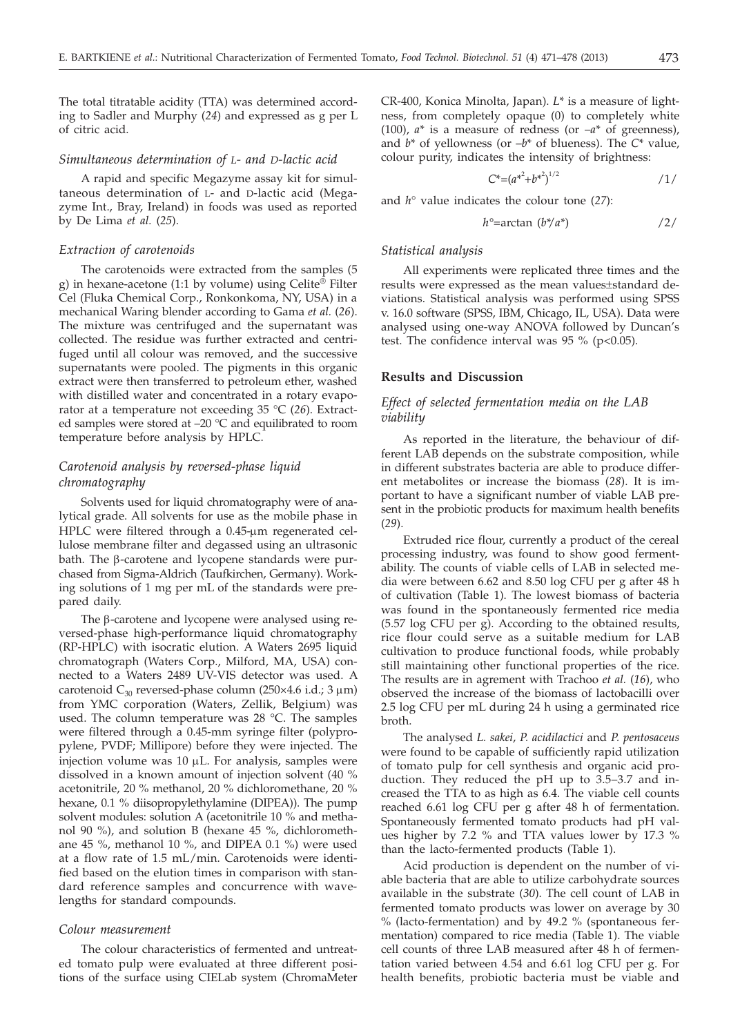The total titratable acidity (TTA) was determined according to Sadler and Murphy (*24*) and expressed as g per L of citric acid.

#### *Simultaneous determination of L- and D-lactic acid*

A rapid and specific Megazyme assay kit for simultaneous determination of L- and D-lactic acid (Megazyme Int., Bray, Ireland) in foods was used as reported by De Lima *et al.* (*25*).

## *Extraction of carotenoids*

The carotenoids were extracted from the samples (5 g) in hexane-acetone (1:1 by volume) using Celite® Filter Cel (Fluka Chemical Corp., Ronkonkoma, NY, USA) in a mechanical Waring blender according to Gama *et al.* (*26*). The mixture was centrifuged and the supernatant was collected. The residue was further extracted and centrifuged until all colour was removed, and the successive supernatants were pooled. The pigments in this organic extract were then transferred to petroleum ether, washed with distilled water and concentrated in a rotary evaporator at a temperature not exceeding 35 °C (*26*). Extracted samples were stored at –20 °C and equilibrated to room temperature before analysis by HPLC.

## *Carotenoid analysis by reversed-phase liquid chromatography*

Solvents used for liquid chromatography were of analytical grade. All solvents for use as the mobile phase in HPLC were filtered through a 0.45-µm regenerated cellulose membrane filter and degassed using an ultrasonic bath. The  $\beta$ -carotene and lycopene standards were purchased from Sigma-Aldrich (Taufkirchen, Germany). Working solutions of 1 mg per mL of the standards were prepared daily.

The  $\beta$ -carotene and lycopene were analysed using reversed-phase high-performance liquid chromatography (RP-HPLC) with isocratic elution. A Waters 2695 liquid chromatograph (Waters Corp., Milford, MA, USA) connected to a Waters 2489 UV-VIS detector was used. A carotenoid  $C_{30}$  reversed-phase column (250×4.6 i.d.; 3  $\mu$ m) from YMC corporation (Waters, Zellik, Belgium) was used. The column temperature was 28 °C. The samples were filtered through a 0.45-mm syringe filter (polypropylene, PVDF; Millipore) before they were injected. The injection volume was  $10 \mu L$ . For analysis, samples were dissolved in a known amount of injection solvent (40 % acetonitrile, 20 % methanol, 20 % dichloromethane, 20 % hexane, 0.1 % diisopropylethylamine (DIPEA)). The pump solvent modules: solution A (acetonitrile 10 % and methanol 90 %), and solution B (hexane 45 %, dichloromethane 45 %, methanol 10 %, and DIPEA 0.1 %) were used at a flow rate of 1.5 mL/min. Carotenoids were identified based on the elution times in comparison with standard reference samples and concurrence with wavelengths for standard compounds.

#### *Colour measurement*

The colour characteristics of fermented and untreated tomato pulp were evaluated at three different positions of the surface using CIELab system (ChromaMeter CR-400, Konica Minolta, Japan). *L*\* is a measure of lightness, from completely opaque (0) to completely white (100),  $a^*$  is a measure of redness (or  $-a^*$  of greenness), and *b*\* of yellowness (or –*b*\* of blueness). The *C*\* value, colour purity, indicates the intensity of brightness:

$$
C^* = (a^{*^2} + b^{*^2})^{1/2} \tag{1/2}
$$

and *h*° value indicates the colour tone (*27*):

$$
h^{\circ} = \arctan(b^*/a^*)
$$

#### *Statistical analysis*

All experiments were replicated three times and the results were expressed as the mean values±standard deviations. Statistical analysis was performed using SPSS v. 16.0 software (SPSS, IBM, Chicago, IL, USA). Data were analysed using one-way ANOVA followed by Duncan's test. The confidence interval was  $95\%$  (p<0.05).

### **Results and Discussion**

## *Effect of selected fermentation media on the LAB viability*

As reported in the literature, the behaviour of different LAB depends on the substrate composition, while in different substrates bacteria are able to produce different metabolites or increase the biomass (*28*). It is important to have a significant number of viable LAB present in the probiotic products for maximum health benefits (*29*).

Extruded rice flour, currently a product of the cereal processing industry, was found to show good fermentability. The counts of viable cells of LAB in selected media were between 6.62 and 8.50 log CFU per g after 48 h of cultivation (Table 1). The lowest biomass of bacteria was found in the spontaneously fermented rice media (5.57 log CFU per g). According to the obtained results, rice flour could serve as a suitable medium for LAB cultivation to produce functional foods, while probably still maintaining other functional properties of the rice. The results are in agrement with Trachoo *et al.* (*16*), who observed the increase of the biomass of lactobacilli over 2.5 log CFU per mL during 24 h using a germinated rice broth.

The analysed *L. sakei*, *P. acidilactici* and *P. pentosaceus* were found to be capable of sufficiently rapid utilization of tomato pulp for cell synthesis and organic acid production. They reduced the pH up to 3.5–3.7 and increased the TTA to as high as 6.4. The viable cell counts reached 6.61 log CFU per g after 48 h of fermentation. Spontaneously fermented tomato products had pH values higher by 7.2 % and TTA values lower by 17.3 % than the lacto-fermented products (Table 1).

Acid production is dependent on the number of viable bacteria that are able to utilize carbohydrate sources available in the substrate (*30*). The cell count of LAB in fermented tomato products was lower on average by 30 % (lacto-fermentation) and by 49.2 % (spontaneous fermentation) compared to rice media (Table 1). The viable cell counts of three LAB measured after 48 h of fermentation varied between 4.54 and 6.61 log CFU per g. For health benefits, probiotic bacteria must be viable and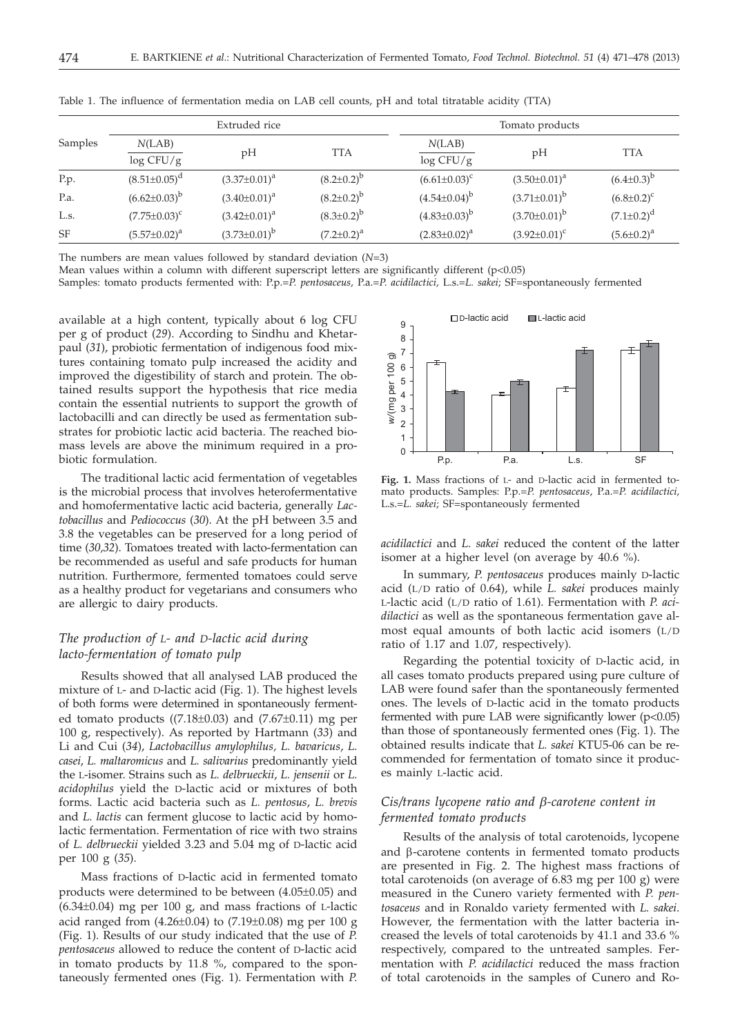|           | Extruded rice          |                     |                     | Tomato products     |                       |                     |
|-----------|------------------------|---------------------|---------------------|---------------------|-----------------------|---------------------|
| Samples   | N(LAB)<br>$\log$ CFU/g | pН                  | <b>TTA</b>          | N(LAB)<br>log CFU/g | pH                    | <b>TTA</b>          |
| P.p.      | $(8.51 \pm 0.05)^d$    | $(3.37 \pm 0.01)^a$ | $(8.2 \pm 0.2)^b$   | $(6.61 \pm 0.03)^c$ | $(3.50 \pm 0.01)^a$   | $(6.4 \pm 0.3)^{b}$ |
| P.a.      | $(6.62 \pm 0.03)^{b}$  | $(3.40 \pm 0.01)^a$ | $(8.2 \pm 0.2)^{b}$ | $(4.54\pm0.04)^{b}$ | $(3.71 \pm 0.01)^{b}$ | $(6.8 \pm 0.2)^c$   |
| L.s.      | $(7.75 \pm 0.03)^c$    | $(3.42 \pm 0.01)^a$ | $(8.3 \pm 0.2)^{b}$ | $(4.83\pm0.03)^{b}$ | $(3.70 \pm 0.01)^b$   | $(7.1 \pm 0.2)^d$   |
| <b>SF</b> | $(5.57 \pm 0.02)^a$    | $(3.73\pm0.01)^{b}$ | $(7.2 \pm 0.2)^a$   | $(2.83 \pm 0.02)^a$ | $(3.92 \pm 0.01)^c$   | $(5.6 \pm 0.2)^a$   |

Table 1. The influence of fermentation media on LAB cell counts, pH and total titratable acidity (TTA)

The numbers are mean values followed by standard deviation (*N*=3)

Mean values within a column with different superscript letters are significantly different (p<0.05)

Samples: tomato products fermented with: P.p.=*P. pentosaceus,* P.a.=*P*. *acidilactici,* L.s.=*L. sakei*; SF=spontaneously fermented

available at a high content, typically about 6 log CFU per g of product (*29*). According to Sindhu and Khetarpaul (*31*), probiotic fermentation of indigenous food mixtures containing tomato pulp increased the acidity and improved the digestibility of starch and protein. The obtained results support the hypothesis that rice media contain the essential nutrients to support the growth of lactobacilli and can directly be used as fermentation substrates for probiotic lactic acid bacteria. The reached biomass levels are above the minimum required in a probiotic formulation.

The traditional lactic acid fermentation of vegetables is the microbial process that involves heterofermentative and homofermentative lactic acid bacteria, generally *Lactobacillus* and *Pediococcus* (*30*). At the pH between 3.5 and 3.8 the vegetables can be preserved for a long period of time (*30,32*). Tomatoes treated with lacto-fermentation can be recommended as useful and safe products for human nutrition. Furthermore, fermented tomatoes could serve as a healthy product for vegetarians and consumers who are allergic to dairy products.

## *The production of L- and D-lactic acid during lacto-fermentation of tomato pulp*

Results showed that all analysed LAB produced the mixture of L- and D-lactic acid (Fig. 1). The highest levels of both forms were determined in spontaneously fermented tomato products ( $(7.18\pm0.03)$  and  $(7.67\pm0.11)$  mg per 100 g, respectively). As reported by Hartmann (*33*) and Li and Cui (*34*), *Lactobacillus amylophilus, L. bavaricus*, *L. casei*, *L. maltaromicus* and *L. salivarius* predominantly yield the L-isomer. Strains such as *L. delbrueckii*, *L. jensenii* or *L. acidophilus* yield the D-lactic acid or mixtures of both forms. Lactic acid bacteria such as *L. pentosus*, *L. brevis* and *L*. *lactis* can ferment glucose to lactic acid by homolactic fermentation. Fermentation of rice with two strains of *L. delbrueckii* yielded 3.23 and 5.04 mg of D-lactic acid per 100 g (*35*).

Mass fractions of D-lactic acid in fermented tomato products were determined to be between (4.05±0.05) and (6.34±0.04) mg per 100 g, and mass fractions of L-lactic acid ranged from  $(4.26\pm0.04)$  to  $(7.19\pm0.08)$  mg per 100 g (Fig. 1). Results of our study indicated that the use of *P. pentosaceus* allowed to reduce the content of D-lactic acid in tomato products by 11.8 %, compared to the spontaneously fermented ones (Fig. 1). Fermentation with *P.*



**Fig. 1.** Mass fractions of L- and D-lactic acid in fermented tomato products. Samples: P.p.=*P. pentosaceus*, P.a.=*P. acidilactici,* L.s.=*L. sakei*; SF=spontaneously fermented

*acidilactici* and *L. sakei* reduced the content of the latter isomer at a higher level (on average by 40.6 %).

In summary, *P. pentosaceus* produces mainly D-lactic acid (L/D ratio of 0.64), while *L. sakei* produces mainly L-lactic acid (L/D ratio of 1.61). Fermentation with *P. acidilactici* as well as the spontaneous fermentation gave almost equal amounts of both lactic acid isomers (L/D ratio of 1.17 and 1.07, respectively).

Regarding the potential toxicity of D-lactic acid, in all cases tomato products prepared using pure culture of LAB were found safer than the spontaneously fermented ones. The levels of D-lactic acid in the tomato products fermented with pure LAB were significantly lower  $(p<0.05)$ than those of spontaneously fermented ones (Fig. 1). The obtained results indicate that *L. sakei* KTU5-06 can be recommended for fermentation of tomato since it produces mainly L-lactic acid.

## *Cis/trans lycopene ratio and b-carotene content in fermented tomato products*

Results of the analysis of total carotenoids, lycopene and  $\beta$ -carotene contents in fermented tomato products are presented in Fig. 2. The highest mass fractions of total carotenoids (on average of 6.83 mg per 100 g) were measured in the Cunero variety fermented with *P. pentosaceus* and in Ronaldo variety fermented with *L. sakei*. However, the fermentation with the latter bacteria increased the levels of total carotenoids by 41.1 and 33.6 % respectively, compared to the untreated samples. Fermentation with *P. acidilactici* reduced the mass fraction of total carotenoids in the samples of Cunero and Ro-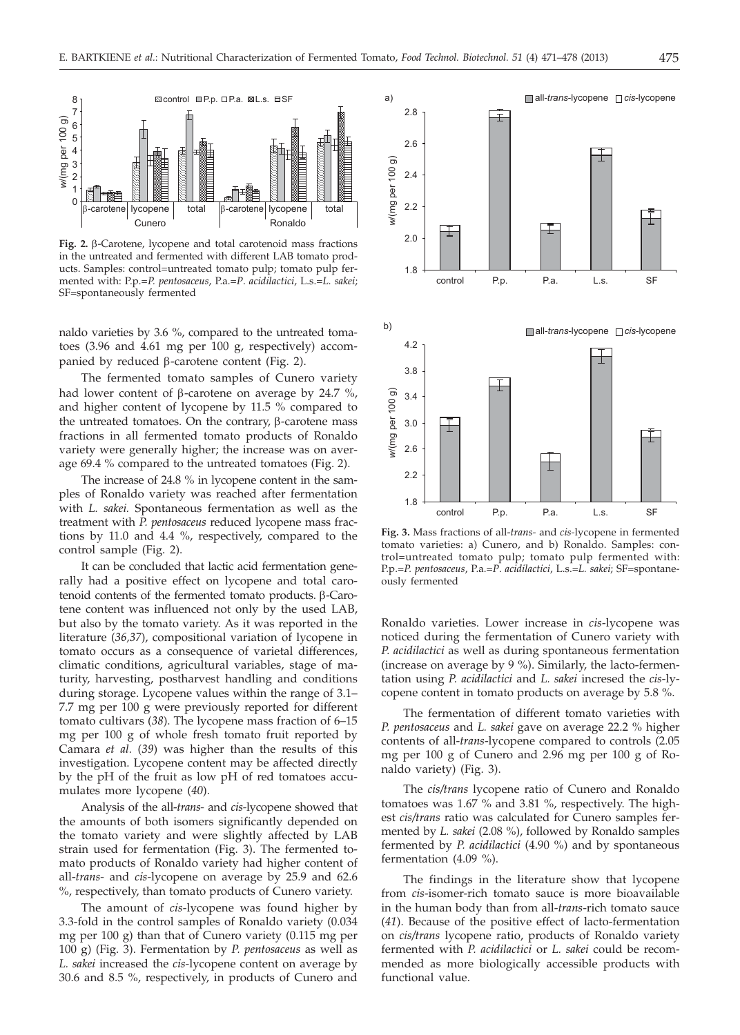

**Fig. 2.** b-Carotene, lycopene and total carotenoid mass fractions in the untreated and fermented with different LAB tomato products. Samples: control=untreated tomato pulp; tomato pulp fermented with: P.p.=*P. pentosaceus*, P.a.=*P*. *acidilactici*, L.s.=*L. sakei*; SF=spontaneously fermented

naldo varieties by 3.6 %, compared to the untreated tomatoes (3.96 and 4.61 mg per 100 g, respectively) accompanied by reduced  $\beta$ -carotene content (Fig. 2).

The fermented tomato samples of Cunero variety had lower content of  $\beta$ -carotene on average by 24.7 %, and higher content of lycopene by 11.5 % compared to the untreated tomatoes. On the contrary,  $\beta$ -carotene mass fractions in all fermented tomato products of Ronaldo variety were generally higher; the increase was on average 69.4 % compared to the untreated tomatoes (Fig. 2).

The increase of 24.8 % in lycopene content in the samples of Ronaldo variety was reached after fermentation with *L. sakei.* Spontaneous fermentation as well as the treatment with *P. pentosaceus* reduced lycopene mass fractions by 11.0 and 4.4 %, respectively, compared to the control sample (Fig. 2).

It can be concluded that lactic acid fermentation generally had a positive effect on lycopene and total carotenoid contents of the fermented tomato products.  $\beta$ -Carotene content was influenced not only by the used LAB, but also by the tomato variety. As it was reported in the literature (*36,37*), compositional variation of lycopene in tomato occurs as a consequence of varietal differences, climatic conditions, agricultural variables, stage of maturity, harvesting, postharvest handling and conditions during storage. Lycopene values within the range of 3.1– 7.7 mg per 100 g were previously reported for different tomato cultivars (*38*). The lycopene mass fraction of 6–15 mg per 100 g of whole fresh tomato fruit reported by Camara *et al.* (*39*) was higher than the results of this investigation. Lycopene content may be affected directly by the pH of the fruit as low pH of red tomatoes accumulates more lycopene (*40*).

Analysis of the all-*trans-* and *cis-*lycopene showed that the amounts of both isomers significantly depended on the tomato variety and were slightly affected by LAB strain used for fermentation (Fig. 3). The fermented tomato products of Ronaldo variety had higher content of all-*trans-* and *cis-*lycopene on average by 25.9 and 62.6 %, respectively, than tomato products of Cunero variety.

The amount of *cis*-lycopene was found higher by 3.3-fold in the control samples of Ronaldo variety (0.034 mg per 100 g) than that of Cunero variety (0.115 mg per 100 g) (Fig. 3). Fermentation by *P. pentosaceus* as well as *L. sakei* increased the *cis-*lycopene content on average by 30.6 and 8.5 %, respectively, in products of Cunero and



**Fig. 3.** Mass fractions of all-*trans-* and *cis-*lycopene in fermented tomato varieties: a) Cunero, and b) Ronaldo. Samples: control=untreated tomato pulp; tomato pulp fermented with: P.p.=*P. pentosaceus*, P.a.=*P*. *acidilactici*, L.s.=*L. sakei*; SF=spontaneously fermented

Ronaldo varieties. Lower increase in *cis*-lycopene was noticed during the fermentation of Cunero variety with *P. acidilactici* as well as during spontaneous fermentation (increase on average by 9 %). Similarly, the lacto-fermentation using *P. acidilactici* and *L. sakei* incresed the *cis*-lycopene content in tomato products on average by 5.8 %.

The fermentation of different tomato varieties with *P. pentosaceus* and *L. sakei* gave on average 22.2 % higher contents of all-*trans*-lycopene compared to controls (2.05 mg per 100 g of Cunero and 2.96 mg per 100 g of Ronaldo variety) (Fig. 3).

The *cis/trans* lycopene ratio of Cunero and Ronaldo tomatoes was 1.67 % and 3.81 %, respectively. The highest *cis/trans* ratio was calculated for Cunero samples fermented by *L. sakei* (2.08 %), followed by Ronaldo samples fermented by *P. acidilactici* (4.90 %) and by spontaneous fermentation (4.09 %).

The findings in the literature show that lycopene from *cis*-isomer-rich tomato sauce is more bioavailable in the human body than from all-*trans*-rich tomato sauce (*41*). Because of the positive effect of lacto-fermentation on *cis/trans* lycopene ratio, products of Ronaldo variety fermented with *P. acidilactici* or *L. sakei* could be recommended as more biologically accessible products with functional value.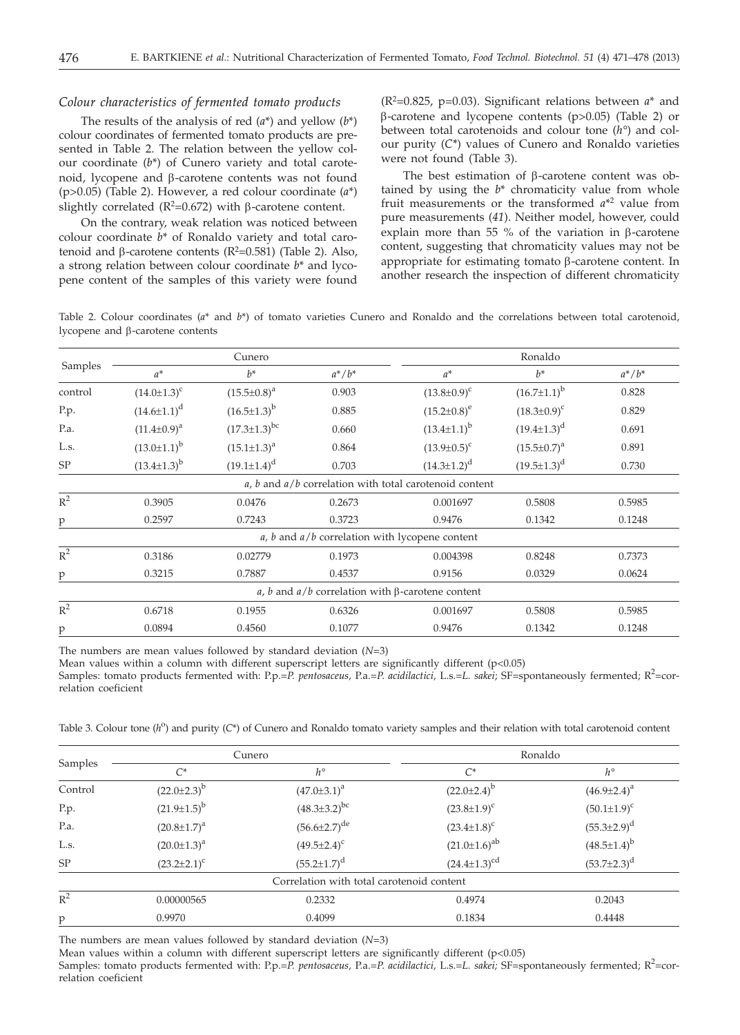#### *Colour characteristics of fermented tomato products*

The results of the analysis of red (*a*\*) and yellow (*b*\*) colour coordinates of fermented tomato products are presented in Table 2. The relation between the yellow colour coordinate (*b*\*) of Cunero variety and total carotenoid, lycopene and β-carotene contents was not found (p>0.05) (Table 2). However, a red colour coordinate (*a*\*) slightly correlated  $(R^2=0.672)$  with  $\beta$ -carotene content.

On the contrary, weak relation was noticed between colour coordinate *b*\* of Ronaldo variety and total carotenoid and  $\beta$ -carotene contents ( $R^2$ =0.581) (Table 2). Also,<br>a strong relation between colour coordinate  $h^*$  and lycoa strong relation between colour coordinate *b*\* and lycopene content of the samples of this variety were found

 $(R<sup>2</sup>=0.825, p=0.03)$ . Significant relations between  $a^*$  and  $\beta$ -carotene and lycopene contents (p>0.05) (Table 2) or between total carotenoids and colour tone (*h°*) and colour purity (*C\**) values of Cunero and Ronaldo varieties were not found (Table 3).

The best estimation of  $\beta$ -carotene content was obtained by using the *b*\* chromaticity value from whole fruit measurements or the transformed *a*\*2 value from pure measurements (*41*). Neither model, however, could explain more than 55 % of the variation in  $\beta$ -carotene content, suggesting that chromaticity values may not be appropriate for estimating tomato  $\beta$ -carotene content. In another research the inspection of different chromaticity

Table 2. Colour coordinates (*a*\* and *b*\*) of tomato varieties Cunero and Ronaldo and the correlations between total carotenoid, lycopene and b-carotene contents

| Samples | Cunero               |                       |           | Ronaldo                                                    |                      |           |
|---------|----------------------|-----------------------|-----------|------------------------------------------------------------|----------------------|-----------|
|         | $a^*$                | $h^*$                 | $a^*/b^*$ | $a^*$                                                      | $h^*$                | $a^*/b^*$ |
| control | $(14.0 \pm 1.3)^c$   | $(15.5 \pm 0.8)^a$    | 0.903     | $(13.8 \pm 0.9)^c$                                         | $(16.7 \pm 1.1)^{b}$ | 0.828     |
| P.p.    | $(14.6 \pm 1.1)^d$   | $(16.5 \pm 1.3)^{b}$  | 0.885     | $(15.2 \pm 0.8)^e$                                         | $(18.3 \pm 0.9)^c$   | 0.829     |
| P.a.    | $(11.4 \pm 0.9)^a$   | $(17.3 \pm 1.3)^{bc}$ | 0.660     | $(13.4 \pm 1.1)^{b}$                                       | $(19.4 \pm 1.3)^d$   | 0.691     |
| L.s.    | $(13.0 \pm 1.1)^b$   | $(15.1 \pm 1.3)^a$    | 0.864     | $(13.9 \pm 0.5)^c$                                         | $(15.5 \pm 0.7)^a$   | 0.891     |
| SP      | $(13.4 \pm 1.3)^{b}$ | $(19.1 \pm 1.4)^d$    | 0.703     | $(14.3 \pm 1.2)^d$                                         | $(19.5 \pm 1.3)^d$   | 0.730     |
|         |                      |                       |           | $a, b$ and $a/b$ correlation with total carotenoid content |                      |           |
| $R^2$   | 0.3905               | 0.0476                | 0.2673    | 0.001697                                                   | 0.5808               | 0.5985    |
| p       | 0.2597               | 0.7243                | 0.3723    | 0.9476                                                     | 0.1342               | 0.1248    |
|         |                      |                       |           | $a$ , $b$ and $a/b$ correlation with lycopene content      |                      |           |
| $R^2$   | 0.3186               | 0.02779               | 0.1973    | 0.004398                                                   | 0.8248               | 0.7373    |
| p       | 0.3215               | 0.7887                | 0.4537    | 0.9156                                                     | 0.0329               | 0.0624    |
|         |                      |                       |           | a, b and $a/b$ correlation with $\beta$ -carotene content  |                      |           |
| $R^2$   | 0.6718               | 0.1955                | 0.6326    | 0.001697                                                   | 0.5808               | 0.5985    |
| p       | 0.0894               | 0.4560                | 0.1077    | 0.9476                                                     | 0.1342               | 0.1248    |

The numbers are mean values followed by standard deviation (*N*=3)

Mean values within a column with different superscript letters are significantly different  $(p<0.05)$ 

Samples: tomato products fermented with: P.p.=P. pentosaceus, P.a.=P. acidilactici, L.s.=L. sakei; SF=spontaneously fermented; R<sup>2</sup>=correlation coeficient

Table 3. Colour tone  $(h^0)$  and purity  $(C^*)$  of Cunero and Ronaldo tomato variety samples and their relation with total carotenoid content

|         |                      | Cunero                                    | Ronaldo               |                      |
|---------|----------------------|-------------------------------------------|-----------------------|----------------------|
| Samples | $C^*$                | $h^{\circ}$                               | $C^*$                 | $h^{\circ}$          |
| Control | $(22.0 \pm 2.3)^b$   | $(47.0 \pm 3.1)^a$                        | $(22.0 \pm 2.4)^b$    | $(46.9 \pm 2.4)^a$   |
| P.p.    | $(21.9 \pm 1.5)^{b}$ | $(48.3 \pm 3.2)^{bc}$                     | $(23.8 \pm 1.9)^c$    | $(50.1 \pm 1.9)^c$   |
| P.a.    | $(20.8 \pm 1.7)^a$   | $(56.6 \pm 2.7)^{de}$                     | $(23.4 \pm 1.8)^c$    | $(55.3 \pm 2.9)^d$   |
| L.s.    | $(20.0 \pm 1.3)^a$   | $(49.5 \pm 2.4)^c$                        | $(21.0 \pm 1.6)^{ab}$ | $(48.5 \pm 1.4)^{b}$ |
| SP      | $(23.2 \pm 2.1)^c$   | $(55.2 \pm 1.7)^d$                        | $(24.4 \pm 1.3)^{cd}$ | $(53.7 \pm 2.3)^d$   |
|         |                      | Correlation with total carotenoid content |                       |                      |
| $R^2$   | 0.00000565           | 0.2332                                    | 0.4974                | 0.2043               |
| p       | 0.9970               | 0.4099                                    | 0.1834                | 0.4448               |

The numbers are mean values followed by standard deviation (*N*=3)

Mean values within a column with different superscript letters are significantly different (p<0.05)

Samples: tomato products fermented with: P.p.=P. *pentosaceus*, P.a.=P. *acidilactici*, L.s.=L. sakei; SF=spontaneously fermented; R<sup>2</sup>=correlation coeficient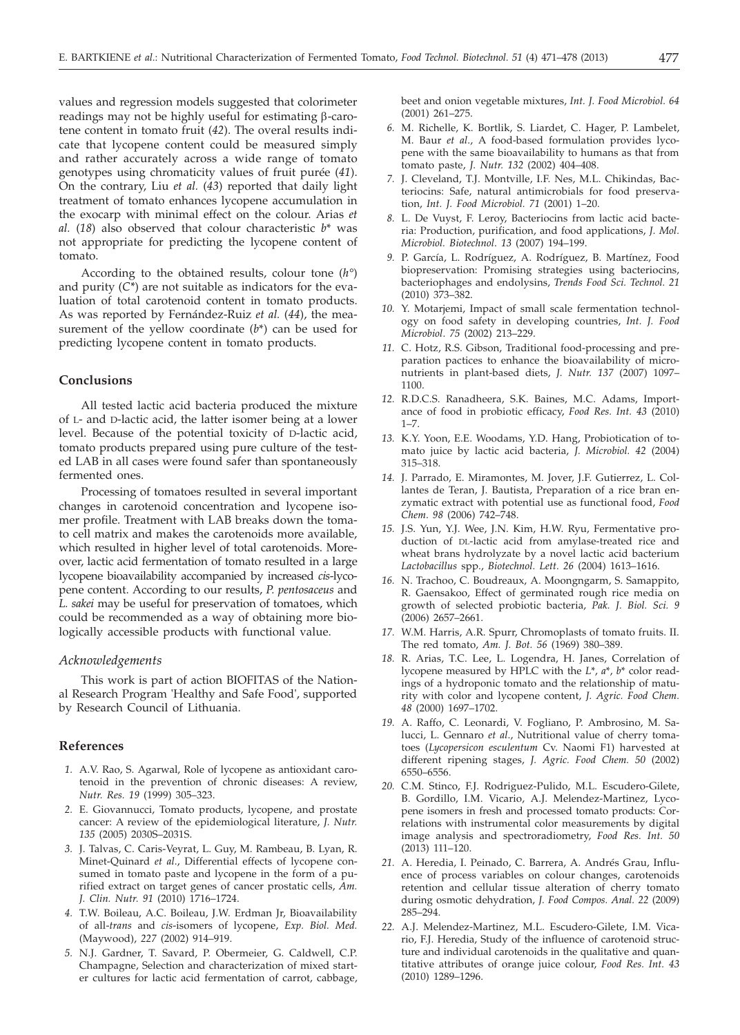values and regression models suggested that colorimeter readings may not be highly useful for estimating  $\beta$ -carotene content in tomato fruit (*42*). The overal results indicate that lycopene content could be measured simply and rather accurately across a wide range of tomato genotypes using chromaticity values of fruit purée (*41*). On the contrary, Liu *et al.* (*43*) reported that daily light treatment of tomato enhances lycopene accumulation in the exocarp with minimal effect on the colour. Arias *et al.* (*18*) also observed that colour characteristic *b*\* was not appropriate for predicting the lycopene content of tomato.

According to the obtained results, colour tone (*h°*) and purity  $(C^*)$  are not suitable as indicators for the evaluation of total carotenoid content in tomato products. As was reported by Fernández-Ruiz *et al.* (*44*), the measurement of the yellow coordinate (*b*\*) can be used for predicting lycopene content in tomato products.

#### **Conclusions**

All tested lactic acid bacteria produced the mixture of L- and D-lactic acid, the latter isomer being at a lower level. Because of the potential toxicity of D-lactic acid, tomato products prepared using pure culture of the tested LAB in all cases were found safer than spontaneously fermented ones.

Processing of tomatoes resulted in several important changes in carotenoid concentration and lycopene isomer profile. Treatment with LAB breaks down the tomato cell matrix and makes the carotenoids more available, which resulted in higher level of total carotenoids. Moreover, lactic acid fermentation of tomato resulted in a large lycopene bioavailability accompanied by increased *cis*-lycopene content. According to our results, *P. pentosaceus* and *L. sakei* may be useful for preservation of tomatoes, which could be recommended as a way of obtaining more biologically accessible products with functional value.

#### *Acknowledgements*

This work is part of action BIOFITAS of the National Research Program 'Healthy and Safe Food', supported by Research Council of Lithuania.

#### **References**

- *1.* A.V. Rao, S. Agarwal, Role of lycopene as antioxidant carotenoid in the prevention of chronic diseases: A review, *Nutr. Res. 19* (1999) 305–323.
- *2.* E. Giovannucci, Tomato products, lycopene, and prostate cancer: A review of the epidemiological literature, *J. Nutr. 135* (2005) 2030S–2031S.
- *3.* J. Talvas, C. Caris-Veyrat, L. Guy, M. Rambeau, B. Lyan, R. Minet-Quinard *et al*., Differential effects of lycopene consumed in tomato paste and lycopene in the form of a purified extract on target genes of cancer prostatic cells, *Am. J. Clin. Nutr. 91* (2010) 1716–1724.
- *4.* T.W. Boileau, A.C. Boileau, J.W. Erdman Jr, Bioavailability of all-*trans* and *cis*-isomers of lycopene, *Exp. Biol. Med.* (Maywood), *227* (2002) 914–919.
- *5.* N.J. Gardner, T. Savard, P. Obermeier, G. Caldwell, C.P. Champagne, Selection and characterization of mixed starter cultures for lactic acid fermentation of carrot, cabbage,

beet and onion vegetable mixtures, *Int. J. Food Microbiol. 64* (2001) 261–275.

- *6.* M. Richelle, K. Bortlik, S. Liardet, C. Hager, P. Lambelet, M. Baur *et al*., A food-based formulation provides lycopene with the same bioavailability to humans as that from tomato paste, *J. Nutr. 132* (2002) 404–408.
- *7.* J. Cleveland, T.J. Montville, I.F. Nes, M.L. Chikindas, Bacteriocins: Safe, natural antimicrobials for food preservation, *Int. J. Food Microbiol. 71* (2001) 1–20.
- *8.* L. De Vuyst, F. Leroy, Bacteriocins from lactic acid bacteria: Production, purification, and food applications, *J. Mol. Microbiol. Biotechnol*. *13* (2007) 194–199.
- *9.* P. García, L. Rodríguez, A. Rodríguez, B. Martínez, Food biopreservation: Promising strategies using bacteriocins, bacteriophages and endolysins, *Trends Food Sci. Technol. 21* (2010) 373–382.
- *10.* Y. Motarjemi, Impact of small scale fermentation technology on food safety in developing countries, *Int. J. Food Microbiol*. *75* (2002) 213–229.
- *11.* C. Hotz, R.S. Gibson, Traditional food-processing and preparation pactices to enhance the bioavailability of micronutrients in plant-based diets, *J. Nutr. 137* (2007) 1097– 1100.
- *12.* R.D.C.S. Ranadheera, S.K. Baines, M.C. Adams, Importance of food in probiotic efficacy, *Food Res. Int. 43* (2010)  $1 - 7$ .
- *13.* K.Y. Yoon, E.E. Woodams, Y.D. Hang, Probiotication of tomato juice by lactic acid bacteria, *J. Microbiol. 42* (2004) 315–318.
- *14.* J. Parrado, E. Miramontes, M. Jover, J.F. Gutierrez, L. Collantes de Teran, J. Bautista, Preparation of a rice bran enzymatic extract with potential use as functional food, *Food Chem*. *98* (2006) 742–748.
- *15.* J.S. Yun, Y.J. Wee, J.N. Kim, H.W. Ryu, Fermentative production of DL-lactic acid from amylase-treated rice and wheat brans hydrolyzate by a novel lactic acid bacterium *Lactobacillus* spp., *Biotechnol. Lett. 26* (2004) 1613–1616.
- *16.* N. Trachoo, C. Boudreaux, A. Moongngarm, S. Samappito, R. Gaensakoo, Effect of germinated rough rice media on growth of selected probiotic bacteria, *Pak. J. Biol. Sci. 9* (2006) 2657–2661.
- *17.* W.M. Harris, A.R. Spurr, Chromoplasts of tomato fruits. II. The red tomato, *Am. J. Bot. 56* (1969) 380–389.
- *18.* R. Arias, T.C. Lee, L. Logendra, H. Janes, Correlation of lycopene measured by HPLC with the *L*\*, *a*\*, *b*\* color readings of a hydroponic tomato and the relationship of maturity with color and lycopene content, *J. Agric. Food Chem. 48* (2000) 1697–1702.
- *19.* A. Raffo, C. Leonardi, V. Fogliano, P. Ambrosino, M. Salucci, L. Gennaro *et al*., Nutritional value of cherry tomatoes (*Lycopersicon esculentum* Cv. Naomi F1) harvested at different ripening stages, *J. Agric. Food Chem. 50* (2002) 6550–6556.
- *20.* C.M. Stinco, F.J. Rodriguez-Pulido, M.L. Escudero-Gilete, B. Gordillo, I.M. Vicario, A.J. Melendez-Martinez, Lycopene isomers in fresh and processed tomato products: Correlations with instrumental color measurements by digital image analysis and spectroradiometry, *Food Res. Int. 50* (2013) 111–120.
- *21.* A. Heredia, I. Peinado, C. Barrera, A. Andrés Grau, Influence of process variables on colour changes, carotenoids retention and cellular tissue alteration of cherry tomato during osmotic dehydration, *J. Food Compos. Anal. 22* (2009) 285–294.
- *22.* A.J. Melendez-Martinez, M.L. Escudero-Gilete, I.M. Vicario, F.J. Heredia, Study of the influence of carotenoid structure and individual carotenoids in the qualitative and quantitative attributes of orange juice colour, *Food Res. Int. 43* (2010) 1289–1296.